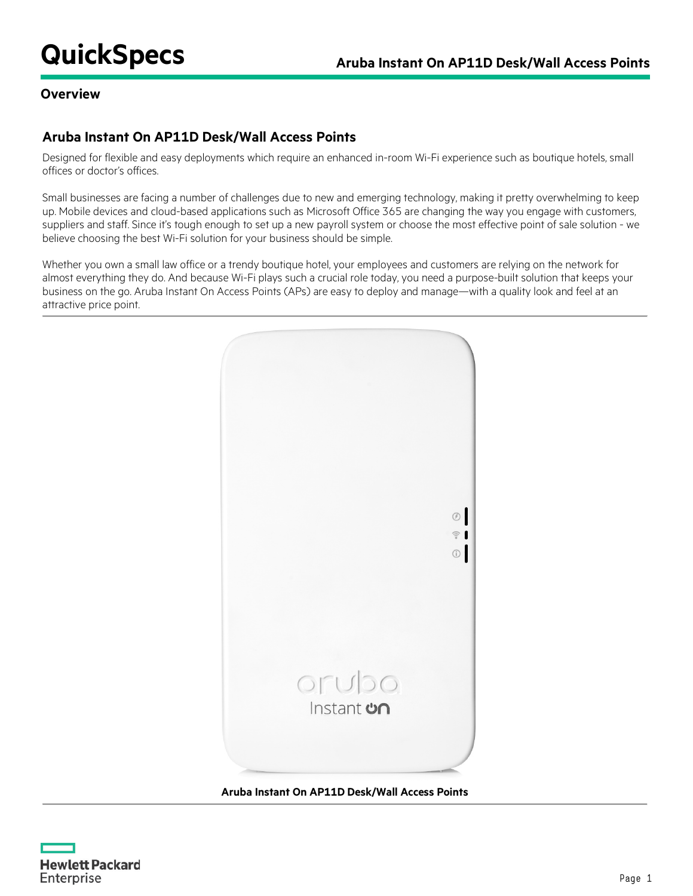#### **Overview**

# **Aruba Instant On AP11D Desk/Wall Access Points**

Designed for flexible and easy deployments which require an enhanced in-room Wi-Fi experience such as boutique hotels, small offices or doctor's offices.

Small businesses are facing a number of challenges due to new and emerging technology, making it pretty overwhelming to keep up. Mobile devices and cloud-based applications such as Microsoft Office 365 are changing the way you engage with customers, suppliers and staff. Since it's tough enough to set up a new payroll system or choose the most effective point of sale solution - we believe choosing the best Wi-Fi solution for your business should be simple.

Whether you own a small law office or a trendy boutique hotel, your employees and customers are relying on the network for almost everything they do. And because Wi-Fi plays such a crucial role today, you need a purpose-built solution that keeps your business on the go. Aruba Instant On Access Points (APs) are easy to deploy and manage—with a quality look and feel at an attractive price point.



#### **Aruba Instant On AP11D Desk/Wall Access Points**

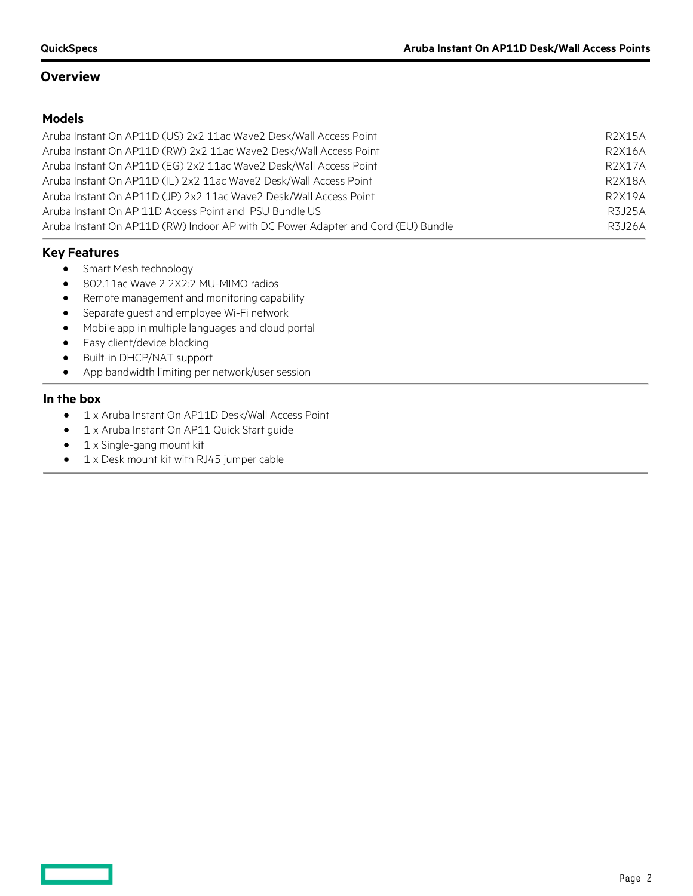# **Overview**

# **Models**

| Aruba Instant On AP11D (US) 2x2 11ac Wave2 Desk/Wall Access Point                | R2X15A  |
|----------------------------------------------------------------------------------|---------|
| Aruba Instant On AP11D (RW) 2x2 11ac Wave2 Desk/Wall Access Point                | R2X16A  |
| Aruba Instant On AP11D (EG) 2x2 11ac Wave2 Desk/Wall Access Point                | R2X17A  |
| Aruba Instant On AP11D (IL) 2x2 11ac Wave2 Desk/Wall Access Point                | R2X18A  |
| Aruba Instant On AP11D (JP) 2x2 11ac Wave2 Desk/Wall Access Point                | R2X19A  |
| Aruba Instant On AP 11D Access Point and PSU Bundle US                           | R3 125A |
| Aruba Instant On AP11D (RW) Indoor AP with DC Power Adapter and Cord (EU) Bundle | R3.126A |

# **Key Features**

- Smart Mesh technology
- 802.11ac Wave 2 2X2:2 MU-MIMO radios
- Remote management and monitoring capability
- Separate guest and employee Wi-Fi network
- Mobile app in multiple languages and cloud portal
- Easy client/device blocking
- Built-in DHCP/NAT support
- App bandwidth limiting per network/user session

#### **In the box**

 $\mathcal{L}(\mathcal{L})$  and  $\mathcal{L}(\mathcal{L})$ 

- 1 x Aruba Instant On AP11D Desk/Wall Access Point
- 1 x Aruba Instant On AP11 Quick Start guide
- 1 x Single-gang mount kit
- 1 x Desk mount kit with RJ45 jumper cable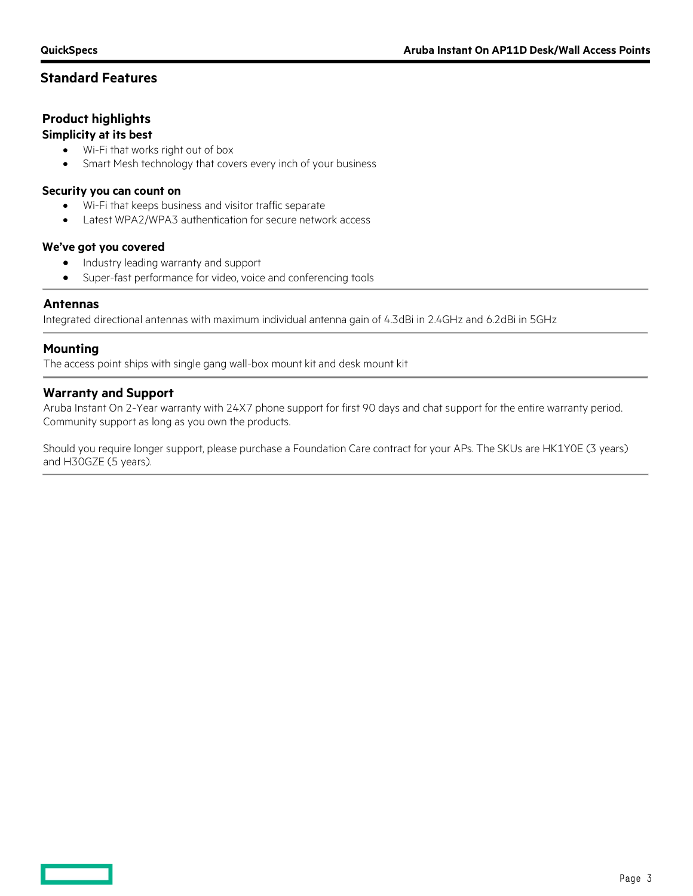# **Standard Features**

# **Product highlights**

#### **Simplicity at its best**

- Wi-Fi that works right out of box
- Smart Mesh technology that covers every inch of your business

#### **Security you can count on**

- Wi-Fi that keeps business and visitor traffic separate
- Latest WPA2/WPA3 authentication for secure network access

#### **We've got you covered**

- Industry leading warranty and support
- Super-fast performance for video, voice and conferencing tools

### **Antennas**

Integrated directional antennas with maximum individual antenna gain of 4.3dBi in 2.4GHz and 6.2dBi in 5GHz

### **Mounting**

The access point ships with single gang wall-box mount kit and desk mount kit

#### **Warranty and Support**

Aruba Instant On 2-Year warranty with 24X7 phone support for first 90 days and chat support for the entire warranty period. Community support as long as you own the products.

Should you require longer support, please purchase a Foundation Care contract for your APs. The SKUs are HK1Y0E (3 years) and H30GZE (5 years).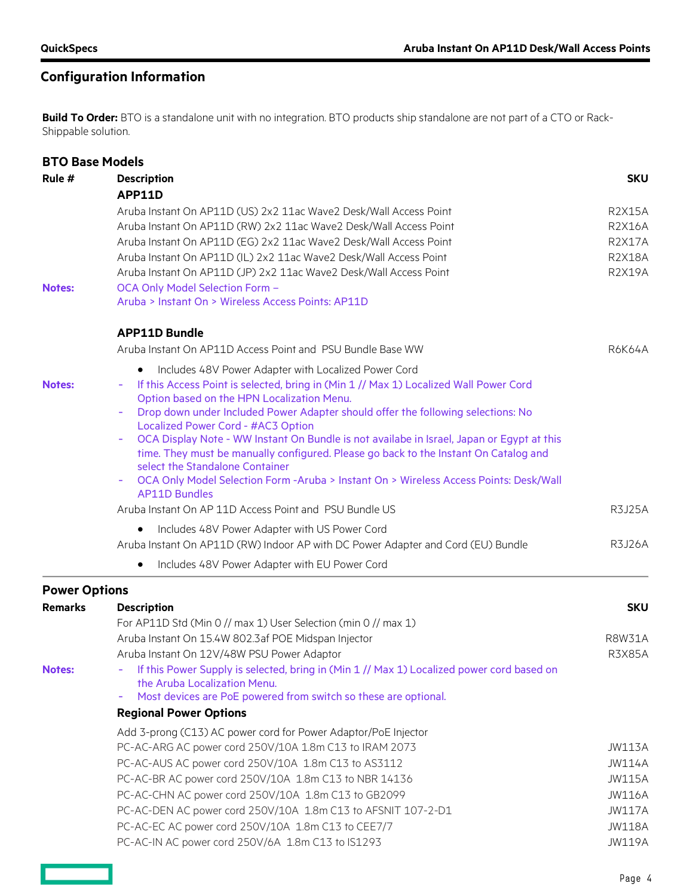**Contract Contract** 

# **Configuration Information**

**Build To Order:** BTO is a standalone unit with no integration. BTO products ship standalone are not part of a CTO or Rack-Shippable solution.

| <b>BTO Base Models</b> |                                                                                                                                                                                                                                                                                  |               |  |  |  |
|------------------------|----------------------------------------------------------------------------------------------------------------------------------------------------------------------------------------------------------------------------------------------------------------------------------|---------------|--|--|--|
| Rule #                 | <b>Description</b>                                                                                                                                                                                                                                                               |               |  |  |  |
|                        | <b>APP11D</b>                                                                                                                                                                                                                                                                    |               |  |  |  |
|                        | Aruba Instant On AP11D (US) 2x2 11ac Wave2 Desk/Wall Access Point                                                                                                                                                                                                                |               |  |  |  |
|                        | Aruba Instant On AP11D (RW) 2x2 11ac Wave2 Desk/Wall Access Point<br>Aruba Instant On AP11D (EG) 2x2 11ac Wave2 Desk/Wall Access Point<br>Aruba Instant On AP11D (IL) 2x2 11ac Wave2 Desk/Wall Access Point<br>Aruba Instant On AP11D (JP) 2x2 11ac Wave2 Desk/Wall Access Point |               |  |  |  |
|                        |                                                                                                                                                                                                                                                                                  |               |  |  |  |
|                        |                                                                                                                                                                                                                                                                                  |               |  |  |  |
|                        |                                                                                                                                                                                                                                                                                  |               |  |  |  |
| <b>Notes:</b>          | OCA Only Model Selection Form -<br>Aruba > Instant On > Wireless Access Points: AP11D                                                                                                                                                                                            |               |  |  |  |
|                        |                                                                                                                                                                                                                                                                                  |               |  |  |  |
|                        | <b>APP11D Bundle</b>                                                                                                                                                                                                                                                             |               |  |  |  |
|                        | Aruba Instant On AP11D Access Point and PSU Bundle Base WW                                                                                                                                                                                                                       | R6K64A        |  |  |  |
|                        | Includes 48V Power Adapter with Localized Power Cord<br>$\bullet$                                                                                                                                                                                                                |               |  |  |  |
| <b>Notes:</b>          | If this Access Point is selected, bring in (Min 1 // Max 1) Localized Wall Power Cord<br>Option based on the HPN Localization Menu.                                                                                                                                              |               |  |  |  |
|                        | Drop down under Included Power Adapter should offer the following selections: No<br>Localized Power Cord - #AC3 Option                                                                                                                                                           |               |  |  |  |
|                        | OCA Display Note - WW Instant On Bundle is not availabe in Israel, Japan or Egypt at this                                                                                                                                                                                        |               |  |  |  |
|                        | time. They must be manually configured. Please go back to the Instant On Catalog and                                                                                                                                                                                             |               |  |  |  |
|                        | select the Standalone Container                                                                                                                                                                                                                                                  |               |  |  |  |
|                        | OCA Only Model Selection Form -Aruba > Instant On > Wireless Access Points: Desk/Wall<br><b>AP11D Bundles</b>                                                                                                                                                                    |               |  |  |  |
|                        | Aruba Instant On AP 11D Access Point and PSU Bundle US                                                                                                                                                                                                                           |               |  |  |  |
|                        | Includes 48V Power Adapter with US Power Cord<br>$\bullet$                                                                                                                                                                                                                       |               |  |  |  |
|                        | Aruba Instant On AP11D (RW) Indoor AP with DC Power Adapter and Cord (EU) Bundle                                                                                                                                                                                                 | <b>R3J26A</b> |  |  |  |
|                        | Includes 48V Power Adapter with EU Power Cord<br>$\bullet$                                                                                                                                                                                                                       |               |  |  |  |
| <b>Power Options</b>   |                                                                                                                                                                                                                                                                                  |               |  |  |  |
| <b>Remarks</b>         | <b>Description</b>                                                                                                                                                                                                                                                               | <b>SKU</b>    |  |  |  |
|                        | For AP11D Std (Min 0 // max 1) User Selection (min 0 // max 1)                                                                                                                                                                                                                   |               |  |  |  |
|                        | Aruba Instant On 15.4W 802.3af POE Midspan Injector                                                                                                                                                                                                                              | <b>R8W31A</b> |  |  |  |
|                        | Aruba Instant On 12V/48W PSU Power Adaptor                                                                                                                                                                                                                                       | <b>R3X85A</b> |  |  |  |
| <b>Notes:</b>          | If this Power Supply is selected, bring in (Min 1 // Max 1) Localized power cord based on<br>the Aruba Localization Menu.                                                                                                                                                        |               |  |  |  |
|                        | Most devices are PoE powered from switch so these are optional.                                                                                                                                                                                                                  |               |  |  |  |
|                        | <b>Regional Power Options</b>                                                                                                                                                                                                                                                    |               |  |  |  |
|                        | Add 3-prong (C13) AC power cord for Power Adaptor/PoE Injector                                                                                                                                                                                                                   |               |  |  |  |
|                        | PC-AC-ARG AC power cord 250V/10A 1.8m C13 to IRAM 2073                                                                                                                                                                                                                           | <b>JW113A</b> |  |  |  |
|                        | PC-AC-AUS AC power cord 250V/10A 1.8m C13 to AS3112                                                                                                                                                                                                                              | <b>JW114A</b> |  |  |  |
|                        | PC-AC-BR AC power cord 250V/10A 1.8m C13 to NBR 14136                                                                                                                                                                                                                            | <b>JW115A</b> |  |  |  |
|                        | PC-AC-CHN AC power cord 250V/10A 1.8m C13 to GB2099                                                                                                                                                                                                                              | <b>JW116A</b> |  |  |  |
|                        | PC-AC-DEN AC power cord 250V/10A 1.8m C13 to AFSNIT 107-2-D1                                                                                                                                                                                                                     | <b>JW117A</b> |  |  |  |
|                        | PC-AC-EC AC power cord 250V/10A 1.8m C13 to CEE7/7                                                                                                                                                                                                                               | <b>JW118A</b> |  |  |  |
|                        | PC-AC-IN AC power cord 250V/6A 1.8m C13 to IS1293                                                                                                                                                                                                                                | <b>JW119A</b> |  |  |  |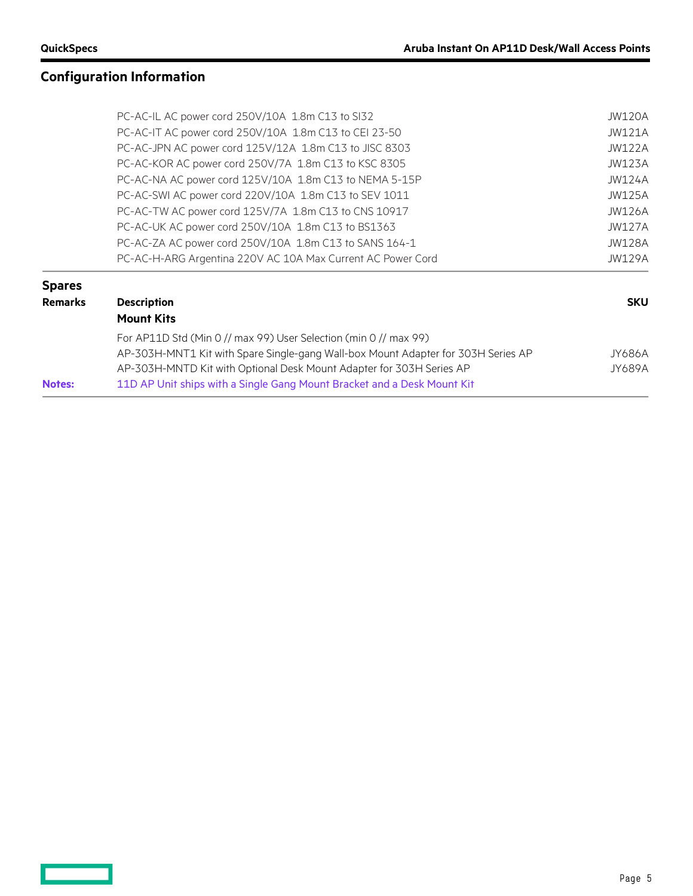$\qquad \qquad$ 

# **Configuration Information**

|                | PC-AC-IL AC power cord 250V/10A 1.8m C13 to SI32                                  | <b>JW120A</b> |  |  |
|----------------|-----------------------------------------------------------------------------------|---------------|--|--|
|                | PC-AC-IT AC power cord 250V/10A 1.8m C13 to CEI 23-50                             | <b>JW121A</b> |  |  |
|                | PC-AC-JPN AC power cord 125V/12A 1.8m C13 to JISC 8303                            | <b>JW122A</b> |  |  |
|                | PC-AC-KOR AC power cord 250V/7A 1.8m C13 to KSC 8305                              | JW123A        |  |  |
|                | PC-AC-NA AC power cord 125V/10A 1.8m C13 to NEMA 5-15P                            | <b>JW124A</b> |  |  |
|                | PC-AC-SWI AC power cord 220V/10A 1.8m C13 to SEV 1011                             | <b>JW125A</b> |  |  |
|                | PC-AC-TW AC power cord 125V/7A 1.8m C13 to CNS 10917                              | <b>JW126A</b> |  |  |
|                | PC-AC-UK AC power cord 250V/10A 1.8m C13 to BS1363                                | <b>JW127A</b> |  |  |
|                | PC-AC-ZA AC power cord 250V/10A 1.8m C13 to SANS 164-1                            | <b>JW128A</b> |  |  |
|                | PC-AC-H-ARG Argentina 220V AC 10A Max Current AC Power Cord                       | JW129A        |  |  |
| <b>Spares</b>  |                                                                                   |               |  |  |
| <b>Remarks</b> | <b>Description</b>                                                                | <b>SKU</b>    |  |  |
|                | <b>Mount Kits</b>                                                                 |               |  |  |
|                | For AP11D Std (Min 0 // max 99) User Selection (min 0 // max 99)                  |               |  |  |
|                | AP-303H-MNT1 Kit with Spare Single-gang Wall-box Mount Adapter for 303H Series AP | JY686A        |  |  |
|                | AP-303H-MNTD Kit with Optional Desk Mount Adapter for 303H Series AP              | JY689A        |  |  |
| <b>Notes:</b>  | 11D AP Unit ships with a Single Gang Mount Bracket and a Desk Mount Kit           |               |  |  |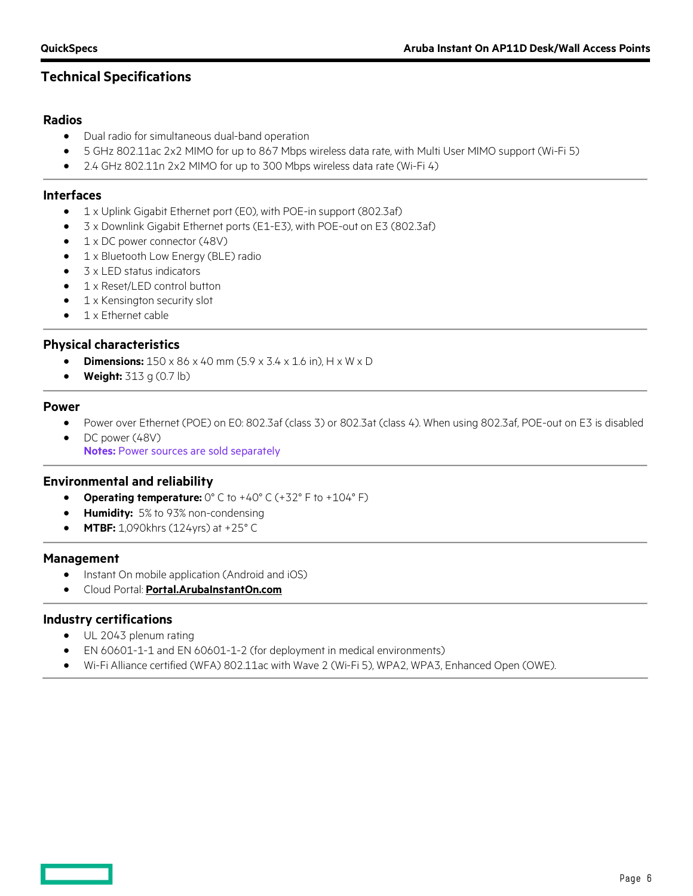# **Technical Specifications**

#### **Radios**

- Dual radio for simultaneous dual-band operation
- 5 GHz 802.11ac 2x2 MIMO for up to 867 Mbps wireless data rate, with Multi User MIMO support (Wi-Fi 5)
- 2.4 GHz 802.11n 2x2 MIMO for up to 300 Mbps wireless data rate (Wi-Fi 4)

#### **Interfaces**

- 1 x Uplink Gigabit Ethernet port (E0), with POE-in support (802.3af)
- 3 x Downlink Gigabit Ethernet ports (E1-E3), with POE-out on E3 (802.3af)
- 1 x DC power connector (48V)
- 1 x Bluetooth Low Energy (BLE) radio
- 3 x LED status indicators
- 1 x Reset/LED control button
- 1 x Kensington security slot
- 1 x Ethernet cable

#### **Physical characteristics**

- **Dimensions:** 150 x 86 x 40 mm (5.9 x 3.4 x 1.6 in), H x W x D
- **Weight:** 313 g (0.7 lb)

#### **Power**

- Power over Ethernet (POE) on E0: 802.3af (class 3) or 802.3at (class 4). When using 802.3af, POE-out on E3 is disabled
- DC power (48V) **Notes:** Power sources are sold separately

#### **Environmental and reliability**

- **Operating temperature:** 0° C to +40° C (+32° F to +104° F)
- **Humidity:** 5% to 93% non-condensing
- **MTBF:** 1,090khrs (124yrs) at +25° C

#### **Management**

- Instant On mobile application (Android and iOS)
- Cloud Portal: **[Portal.ArubaInstantOn.com](https://www.arubainstanton.com/)**

#### **Industry certifications**

- UL 2043 plenum rating
- EN 60601-1-1 and EN 60601-1-2 (for deployment in medical environments)
- Wi-Fi Alliance certified (WFA) 802.11ac with Wave 2 (Wi-Fi 5), WPA2, WPA3, Enhanced Open (OWE).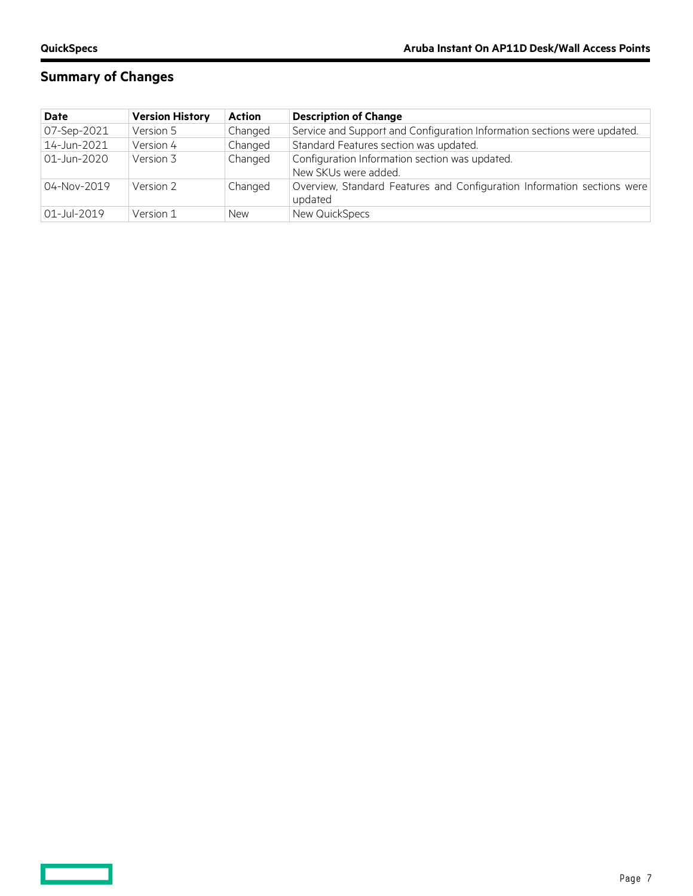$\equiv$   $\equiv$ 

# **Summary of Changes**

| <b>Date</b> | <b>Version History</b> | <b>Action</b> | <b>Description of Change</b>                                                       |
|-------------|------------------------|---------------|------------------------------------------------------------------------------------|
| 07-Sep-2021 | Version 5              | Changed       | Service and Support and Configuration Information sections were updated.           |
| 14-Jun-2021 | Version 4              | Changed       | Standard Features section was updated.                                             |
| 01-Jun-2020 | Version 3              | Changed       | Configuration Information section was updated.<br>New SKUs were added.             |
| 04-Nov-2019 | Version 2              | Changed       | Overview, Standard Features and Configuration Information sections were<br>updated |
| 01-Jul-2019 | Version 1              | <b>New</b>    | New QuickSpecs                                                                     |